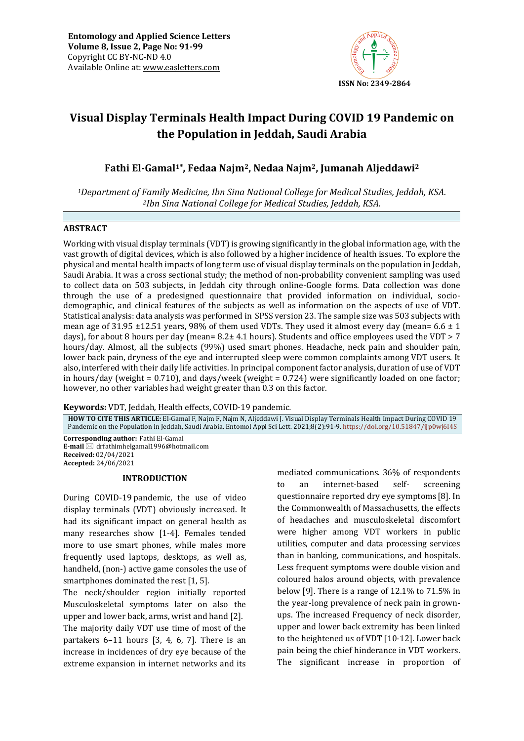

# **Visual Display Terminals Health Impact During COVID 19 Pandemic on the Population in Jeddah, Saudi Arabia**

# **Fathi El-Gamal1\*, Fedaa Najm2, Nedaa Najm2, Jumanah Aljeddawi<sup>2</sup>**

*<sup>1</sup>Department of Family Medicine, Ibn Sina National College for Medical Studies, Jeddah, KSA. <sup>2</sup>Ibn Sina National College for Medical Studies, Jeddah, KSA.*

# **ABSTRACT**

Working with visual display terminals (VDT) is growing significantly in the global information age, with the vast growth of digital devices, which is also followed by a higher incidence of health issues. To explore the physical and mental health impacts of long term use of visual display terminals on the population in Jeddah, Saudi Arabia. It was a cross sectional study; the method of non-probability convenient sampling was used to collect data on 503 subjects, in Jeddah city through online-Google forms. Data collection was done through the use of a predesigned questionnaire that provided information on individual, sociodemographic, and clinical features of the subjects as well as information on the aspects of use of VDT. Statistical analysis: data analysis was performed in SPSS version 23. The sample size was 503 subjects with mean age of 31.95  $\pm$ 12.51 years, 98% of them used VDTs. They used it almost every day (mean= 6.6  $\pm$  1 days), for about 8 hours per day (mean=  $8.2 \pm 4.1$  hours). Students and office employees used the VDT > 7 hours/day. Almost, all the subjects (99%) used smart phones. Headache, neck pain and shoulder pain, lower back pain, dryness of the eye and interrupted sleep were common complaints among VDT users. It also, interfered with their daily life activities. In principal component factor analysis, duration of use of VDT in hours/day (weight = 0.710), and days/week (weight = 0.724) were significantly loaded on one factor; however, no other variables had weight greater than 0.3 on this factor.

**Keywords:** VDT, Jeddah, Health effects, COVID-19 pandemic*.*

**HOW TO CITE THIS ARTICLE:** El-Gamal F, Najm F, Najm N, Aljeddawi J. Visual Display Terminals Health Impact During COVID 19 Pandemic on the Population in Jeddah, Saudi Arabia. Entomol Appl Sci Lett. 2021;8(2):91-9. <https://doi.org/10.51847/jJp0wj6I4S>

**Corresponding author:** Fathi El-Gamal **E-mail** ⊠ drfathimhelgamal1996@hotmail.com **Received:** 02/04/2021 **Accepted:** 24/06/2021

### **INTRODUCTION**

During COVID-19 pandemic, the use of video display terminals (VDT) obviously increased. It had its significant impact on general health as many researches show [1-4]. Females tended more to use smart phones, while males more frequently used laptops, desktops, as well as, handheld, (non-) active game consoles the use of smartphones dominated the rest [1, 5].

The neck/shoulder region initially reported Musculoskeletal symptoms later on also the upper and lower back, arms, wrist and hand [2]. The majority daily VDT use time of most of the partakers 6–11 hours [3, 4, 6, 7]. There is an increase in incidences of dry eye because of the extreme expansion in internet networks and its

mediated communications. 36% of respondents to an internet-based self- screening questionnaire reported dry eye symptoms [8]. In the Commonwealth of Massachusetts, the effects of headaches and musculoskeletal discomfort were higher among VDT workers in public utilities, computer and data processing services than in banking, communications, and hospitals. Less frequent symptoms were double vision and coloured halos around objects, with prevalence below [9]. There is a range of 12.1% to 71.5% in the year-long prevalence of neck pain in grownups. The increased Frequency of neck disorder, upper and lower back extremity has been linked to the heightened us of VDT [10-12]. Lower back pain being the chief hinderance in VDT workers. The significant increase in proportion of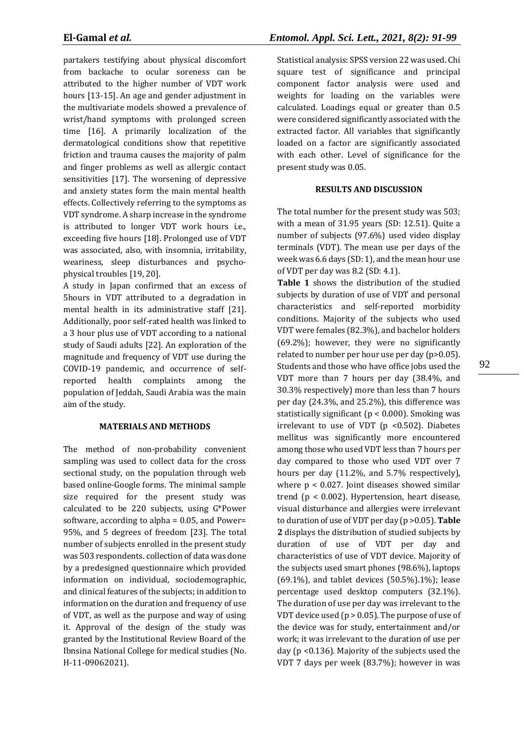partakers testifying about physical discomfort from backache to ocular soreness can be attributed to the higher number of VDT work hours [13-15]. An age and gender adjustment in the multivariate models showed a prevalence of wrist/hand symptoms with prolonged screen time [16]. A primarily localization of the dermatological conditions show that repetitive friction and trauma causes the majority of palm and finger problems as well as allergic contact sensitivities [17]. The worsening of depressive and anxiety states form the main mental health effects. Collectively referring to the symptoms as VDT syndrome. A sharp increase in the syndrome is attributed to longer VDT work hours i.e., exceeding five hours [18]. Prolonged use of VDT was associated, also, with insomnia, irritability, weariness, sleep disturbances and psychophysical troubles [19, 20].

A study in Japan confirmed that an excess of 5hours in VDT attributed to a degradation in mental health in its administrative staff [21]. Additionally, poor self-rated health was linked to a 3 hour plus use of VDT according to a national study of Saudi adults [22]. An exploration of the magnitude and frequency of VDT use during the COVID-19 pandemic, and occurrence of selfreported health complaints among the population of Jeddah, Saudi Arabia was the main aim of the study.

# **MATERIALS AND METHODS**

The method of non-probability convenient sampling was used to collect data for the cross sectional study, on the population through web based online-Google forms. The minimal sample size required for the present study was calculated to be 220 subjects, using G\*Power software, according to alpha = 0.05, and Power= 95%, and 5 degrees of freedom [23]. The total number of subjects enrolled in the present study was 503 respondents. collection of data was done by a predesigned questionnaire which provided information on individual, sociodemographic, and clinical features of the subjects; in addition to information on the duration and frequency of use of VDT, as well as the purpose and way of using it. Approval of the design of the study was granted by the Institutional Review Board of the Ibnsina National College for medical studies (No. H-11-09062021).

Statistical analysis: SPSS version 22 was used. Chi square test of significance and principal component factor analysis were used and weights for loading on the variables were calculated. Loadings equal or greater than 0.5 were considered significantly associated with the extracted factor. All variables that significantly loaded on a factor are significantly associated with each other. Level of significance for the present study was 0.05.

# **RESULTS AND DISCUSSION**

The total number for the present study was 503; with a mean of 31.95 years (SD: 12.51). Quite a number of subjects (97.6%) used video display terminals (VDT). The mean use per days of the week was 6.6 days (SD: 1), and the mean hour use of VDT per day was 8.2 (SD: 4.1).

**Table 1** shows the distribution of the studied subjects by duration of use of VDT and personal characteristics and self-reported morbidity conditions. Majority of the subjects who used VDT were females (82.3%), and bachelor holders (69.2%); however, they were no significantly related to number per hour use per day (p>0.05). Students and those who have office jobs used the VDT more than 7 hours per day (38.4%, and 30.3% respectively) more than less than 7 hours per day (24.3%, and 25.2%), this difference was statistically significant (p < 0.000). Smoking was irrelevant to use of VDT (p <0.502). Diabetes mellitus was significantly more encountered among those who used VDT less than 7 hours per day compared to those who used VDT over 7 hours per day (11.2%, and 5.7% respectively), where p < 0.027. Joint diseases showed similar trend (p < 0.002). Hypertension, heart disease, visual disturbance and allergies were irrelevant to duration of use of VDT per day (p >0.05). **Table 2** displays the distribution of studied subjects by duration of use of VDT per day and characteristics of use of VDT device. Majority of the subjects used smart phones (98.6%), laptops (69.1%), and tablet devices (50.5%).1%); lease percentage used desktop computers (32.1%). The duration of use per day was irrelevant to the VDT device used ( $p > 0.05$ ). The purpose of use of the device was for study, entertainment and/or work; it was irrelevant to the duration of use per day (p <0.136). Majority of the subjects used the VDT 7 days per week (83.7%); however in was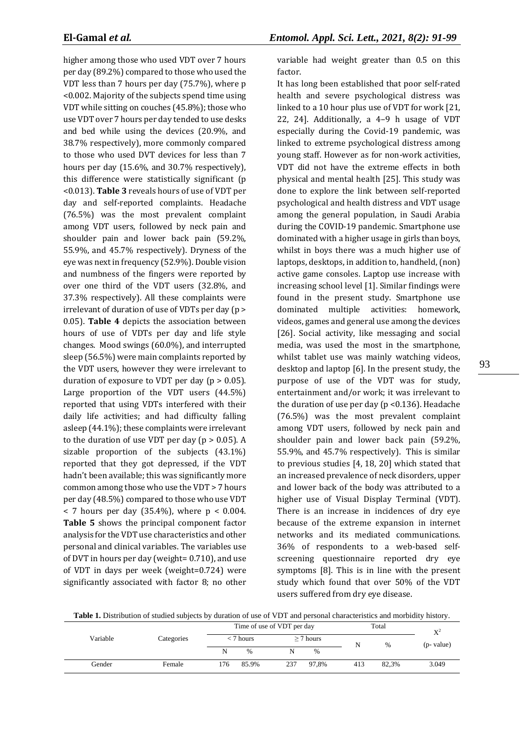higher among those who used VDT over 7 hours per day (89.2%) compared to those who used the VDT less than 7 hours per day (75.7%), where p <0.002. Majority of the subjects spend time using VDT while sitting on couches (45.8%); those who use VDT over 7 hours per day tended to use desks and bed while using the devices (20.9%, and 38.7% respectively), more commonly compared to those who used DVT devices for less than 7 hours per day (15.6%, and 30.7% respectively), this difference were statistically significant (p <0.013). **Table 3** reveals hours of use of VDT per day and self-reported complaints. Headache (76.5%) was the most prevalent complaint among VDT users, followed by neck pain and shoulder pain and lower back pain (59.2%, 55.9%, and 45.7% respectively). Dryness of the eye was next in frequency (52.9%). Double vision and numbness of the fingers were reported by over one third of the VDT users (32.8%, and 37.3% respectively). All these complaints were irrelevant of duration of use of VDTs per day (p > 0.05). **Table 4** depicts the association between hours of use of VDTs per day and life style changes. Mood swings (60.0%), and interrupted sleep (56.5%) were main complaints reported by the VDT users, however they were irrelevant to duration of exposure to VDT per day ( $p > 0.05$ ). Large proportion of the VDT users (44.5%) reported that using VDTs interfered with their daily life activities; and had difficulty falling asleep (44.1%); these complaints were irrelevant to the duration of use VDT per day ( $p > 0.05$ ). A sizable proportion of the subjects (43.1%) reported that they got depressed, if the VDT hadn't been available; this was significantly more common among those who use the VDT > 7 hours per day (48.5%) compared to those who use VDT  $<$  7 hours per day (35.4%), where  $p < 0.004$ . **Table 5** shows the principal component factor analysis for the VDT use characteristics and other personal and clinical variables. The variables use of DVT in hours per day (weight= 0.710), and use of VDT in days per week (weight=0.724) were significantly associated with factor 8; no other variable had weight greater than 0.5 on this factor.

It has long been established that poor self-rated health and severe psychological distress was linked to a 10 hour plus use of VDT for work [21, 22, 24]. Additionally, a 4–9 h usage of VDT especially during the Covid-19 pandemic, was linked to extreme psychological distress among young staff. However as for non-work activities, VDT did not have the extreme effects in both physical and mental health [25]. This study was done to explore the link between self-reported psychological and health distress and VDT usage among the general population, in Saudi Arabia during the COVID-19 pandemic. Smartphone use dominated with a higher usage in girls than boys, whilst in boys there was a much higher use of laptops, desktops, in addition to, handheld, (non) active game consoles. Laptop use increase with increasing school level [1]. Similar findings were found in the present study. Smartphone use dominated multiple activities: homework, videos, games and general use among the devices [26]. Social activity, like messaging and social media, was used the most in the smartphone, whilst tablet use was mainly watching videos, desktop and laptop [6]. In the present study, the purpose of use of the VDT was for study, entertainment and/or work; it was irrelevant to the duration of use per day ( $p$  < 0.136). Headache (76.5%) was the most prevalent complaint among VDT users, followed by neck pain and shoulder pain and lower back pain (59.2%, 55.9%, and 45.7% respectively). This is similar to previous studies [4, 18, 20] which stated that an increased prevalence of neck disorders, upper and lower back of the body was attributed to a higher use of Visual Display Terminal (VDT). There is an increase in incidences of dry eye because of the extreme expansion in internet networks and its mediated communications. 36% of respondents to a web-based selfscreening questionnaire reported dry eye symptoms [8]. This is in line with the present study which found that over 50% of the VDT users suffered from dry eye disease.

**Table 1.** Distribution of studied subjects by duration of use of VDT and personal characteristics and morbidity history.

|          |            |             | Time of use of VDT per day |                |       |     | Total |                        |  |
|----------|------------|-------------|----------------------------|----------------|-------|-----|-------|------------------------|--|
| Variable | Categories | $<$ 7 hours |                            | $\geq$ 7 hours |       |     | $\%$  | $X^2$<br>$(p$ - value) |  |
|          |            | N           |                            |                | $\%$  |     |       |                        |  |
| Gender   | Female     | 176         | 85.9%                      | 237            | 97.8% | 413 | 82.3% | 3.049                  |  |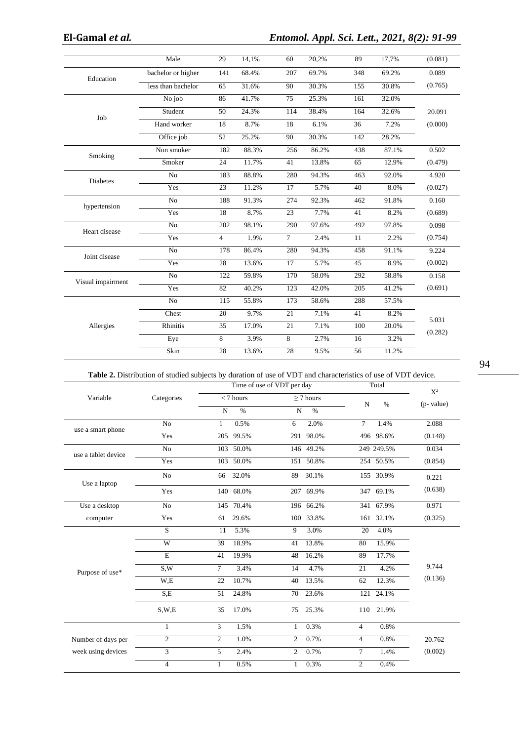|                   | Male               | 29             | 14,1% | 60     | 20,2% | 89  | 17,7% | (0.081) |
|-------------------|--------------------|----------------|-------|--------|-------|-----|-------|---------|
| Education         | bachelor or higher | 141            | 68.4% | 207    | 69.7% | 348 | 69.2% | 0.089   |
|                   | less than bachelor | 65             | 31.6% | 90     | 30.3% | 155 | 30.8% | (0.765) |
|                   | No job             | 86             | 41.7% | 75     | 25.3% | 161 | 32.0% |         |
| Job               | Student            | 50             | 24.3% | 114    | 38.4% | 164 | 32.6% | 20.091  |
|                   | Hand worker        | 18             | 8.7%  | 18     | 6.1%  | 36  | 7.2%  | (0.000) |
|                   | Office job         | 52             | 25.2% | 90     | 30.3% | 142 | 28.2% |         |
| Smoking           | Non smoker         | 182            | 88.3% | 256    | 86.2% | 438 | 87.1% | 0.502   |
|                   | Smoker             | 24             | 11.7% | 41     | 13.8% | 65  | 12.9% | (0.479) |
| <b>Diabetes</b>   | $\overline{No}$    | 183            | 88.8% | 280    | 94.3% | 463 | 92.0% | 4.920   |
|                   | Yes                | 23             | 11.2% | 17     | 5.7%  | 40  | 8.0%  | (0.027) |
| hypertension      | N <sub>o</sub>     | 188            | 91.3% | 274    | 92.3% | 462 | 91.8% | 0.160   |
|                   | Yes                | 18             | 8.7%  | 23     | 7.7%  | 41  | 8.2%  | (0.689) |
| Heart disease     | N <sub>o</sub>     | 202            | 98.1% | 290    | 97.6% | 492 | 97.8% | 0.098   |
|                   | Yes                | $\overline{4}$ | 1.9%  | $\tau$ | 2.4%  | 11  | 2.2%  | (0.754) |
| Joint disease     | No                 | 178            | 86.4% | 280    | 94.3% | 458 | 91.1% | 9.224   |
|                   | Yes                | 28             | 13.6% | 17     | 5.7%  | 45  | 8.9%  | (0.002) |
| Visual impairment | No                 | 122            | 59.8% | 170    | 58.0% | 292 | 58.8% | 0.158   |
|                   | Yes                | 82             | 40.2% | 123    | 42.0% | 205 | 41.2% | (0.691) |
|                   | No                 | 115            | 55.8% | 173    | 58.6% | 288 | 57.5% |         |
|                   | Chest              | 20             | 9.7%  | 21     | 7.1%  | 41  | 8.2%  | 5.031   |
| Allergies         | <b>Rhinitis</b>    | 35             | 17.0% | 21     | 7.1%  | 100 | 20.0% | (0.282) |
|                   | Eye                | 8              | 3.9%  | 8      | 2.7%  | 16  | 3.2%  |         |
|                   | Skin               | 28             | 13.6% | 28     | 9.5%  | 56  | 11.2% |         |

# **Table 2.** Distribution of studied subjects by duration of use of VDT and characteristics of use of VDT device.

|                     |                |                | Time of use of VDT per day |                |                |                | Total      | $X^2$         |
|---------------------|----------------|----------------|----------------------------|----------------|----------------|----------------|------------|---------------|
| Variable            | Categories     |                | $< 7$ hours                |                | $\geq$ 7 hours | $\mathbf N$    | $\%$       | $(p$ - value) |
|                     |                | $\overline{N}$ | $\%$                       | $\mathbf N$    | $\%$           |                |            |               |
|                     | N <sub>o</sub> | 1              | 0.5%                       | 6              | 2.0%           | $\tau$         | 1.4%       | 2.088         |
| use a smart phone   | Yes            | 205            | 99.5%                      | 291            | 98.0%          |                | 496 98.6%  | (0.148)       |
| use a tablet device | N <sub>o</sub> |                | 103 50.0%                  |                | 146 49.2%      |                | 249 249.5% | 0.034         |
|                     | Yes            |                | 103 50.0%                  | 151            | 50.8%          |                | 254 50.5%  | (0.854)       |
| Use a laptop        | N <sub>o</sub> | 66             | 32.0%                      | 89             | 30.1%          |                | 155 30.9%  | 0.221         |
|                     | Yes            |                | 140 68.0%                  |                | 207 69.9%      |                | 347 69.1%  | (0.638)       |
| Use a desktop       | N <sub>o</sub> |                | 145 70.4%                  |                | 196 66.2%      |                | 341 67.9%  | 0.971         |
| computer            | Yes            | 61             | 29.6%                      | 100            | 33.8%          | 161            | 32.1%      | (0.325)       |
|                     | S              | 11             | 5.3%                       | 9              | 3.0%           | 20             | 4.0%       |               |
|                     | W              | 39             | 18.9%                      | 41             | 13.8%          | 80             | 15.9%      |               |
|                     | E              | 41             | 19.9%                      | 48             | 16.2%          | 89             | 17.7%      |               |
| Purpose of use*     | S,W            | 7              | 3.4%                       | 14             | 4.7%           | 21             | 4.2%       | 9.744         |
|                     | W,E            | 22             | 10.7%                      | 40             | 13.5%          | 62             | 12.3%      | (0.136)       |
|                     | S.E            | 51             | 24.8%                      | 70             | 23.6%          | 121            | 24.1%      |               |
|                     | S,W,E          | 35             | 17.0%                      | 75             | 25.3%          | 110            | 21.9%      |               |
|                     | $\mathbf{1}$   | 3              | 1.5%                       | 1              | 0.3%           | $\overline{4}$ | 0.8%       |               |
| Number of days per  | $\overline{c}$ | 2              | 1.0%                       | $\overline{c}$ | 0.7%           | $\overline{4}$ | 0.8%       | 20.762        |
| week using devices  | 3              | 5              | 2.4%                       | $\overline{c}$ | 0.7%           | $\tau$         | 1.4%       | (0.002)       |
|                     | $\overline{4}$ | $\mathbf{1}$   | 0.5%                       | 1              | 0.3%           | $\overline{c}$ | 0.4%       |               |

94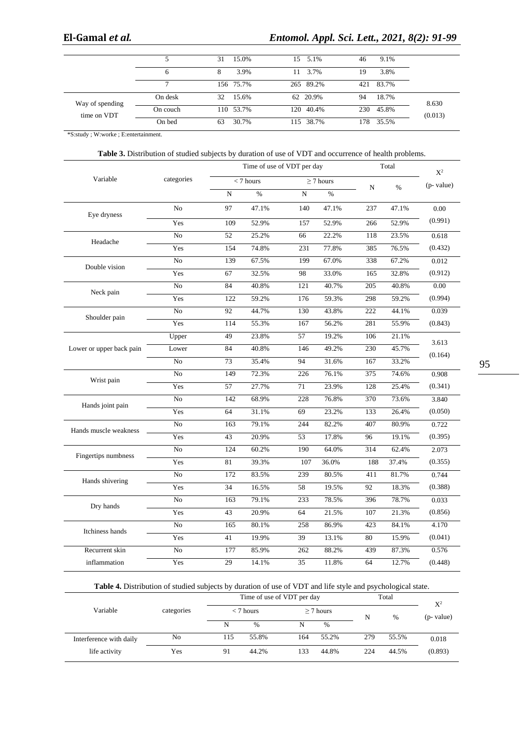# **El-Gamal** *et al.**Entomol. Appl. Sci. Lett., 2021, 8(2): 91-99*

|                 |          | 15.0%<br>31 | 15 5.1%        | 9.1%<br>46   |         |
|-----------------|----------|-------------|----------------|--------------|---------|
|                 | 6        | 3.9%<br>8   | 3.7%<br>- 11 - | 3.8%<br>19   |         |
|                 |          | 156 75.7%   | 265 89.2%      | 421 83.7%    |         |
| Way of spending | On desk  | 32<br>15.6% | 62 20.9%       | 18.7%<br>94  | 8.630   |
| time on VDT     | On couch | 110 53.7%   | 120 40.4%      | 230<br>45.8% | (0.013) |
|                 | On bed   | 30.7%<br>63 | 115 38.7%      | 35.5%<br>178 |         |

\*S:study ; W:worke ; E:entertainment.

# **Table 3.** Distribution of studied subjects by duration of use of VDT and occurrence of health problems.

|                          |                |     | Time of use of VDT per day |           |                |             | Total         | $\mathbf{X}^2$ |
|--------------------------|----------------|-----|----------------------------|-----------|----------------|-------------|---------------|----------------|
| Variable                 | categories     |     | $<$ 7 hours                |           | $\geq$ 7 hours | $\mathbf N$ | $\frac{0}{0}$ | (p- value)     |
|                          |                | N   | $\frac{0}{6}$              | ${\bf N}$ | $\frac{0}{6}$  |             |               |                |
| Eye dryness              | N <sub>0</sub> | 97  | 47.1%                      | 140       | 47.1%          | 237         | 47.1%         | 0.00           |
|                          | Yes            | 109 | 52.9%                      | 157       | 52.9%          | 266         | 52.9%         | (0.991)        |
| Headache                 | No             | 52  | 25.2%                      | 66        | 22.2%          | 118         | 23.5%         | 0.618          |
|                          | Yes            | 154 | 74.8%                      | 231       | 77.8%          | 385         | 76.5%         | (0.432)        |
|                          | N <sub>o</sub> | 139 | 67.5%                      | 199       | 67.0%          | 338         | 67.2%         | 0.012          |
| Double vision            | Yes            | 67  | 32.5%                      | 98        | 33.0%          | 165         | 32.8%         | (0.912)        |
|                          | No             | 84  | 40.8%                      | 121       | 40.7%          | 205         | 40.8%         | 0.00           |
| Neck pain                | Yes            | 122 | 59.2%                      | 176       | 59.3%          | 298         | 59.2%         | (0.994)        |
|                          | No             | 92  | 44.7%                      | 130       | 43.8%          | 222         | 44.1%         | 0.039          |
| Shoulder pain            | Yes            | 114 | 55.3%                      | 167       | 56.2%          | 281         | 55.9%         | (0.843)        |
|                          | Upper          | 49  | 23.8%                      | 57        | 19.2%          | 106         | 21.1%         |                |
| Lower or upper back pain | Lower          | 84  | 40.8%                      | 146       | 49.2%          | 230         | 45.7%         | 3.613          |
|                          | N <sub>o</sub> | 73  | 35.4%                      | 94        | 31.6%          | 167         | 33.2%         | (0.164)        |
|                          | N <sub>0</sub> | 149 | 72.3%                      | 226       | 76.1%          | 375         | 74.6%         | 0.908          |
| Wrist pain               | Yes            | 57  | 27.7%                      | 71        | 23.9%          | 128         | 25.4%         | (0.341)        |
|                          | No             | 142 | 68.9%                      | 228       | 76.8%          | 370         | 73.6%         | 3.840          |
| Hands joint pain         | Yes            | 64  | 31.1%                      | 69        | 23.2%          | 133         | 26.4%         | (0.050)        |
|                          | N <sub>o</sub> | 163 | 79.1%                      | 244       | 82.2%          | 407         | 80.9%         | 0.722          |
| Hands muscle weakness    | Yes            | 43  | 20.9%                      | 53        | 17.8%          | 96          | 19.1%         | (0.395)        |
|                          | N <sub>o</sub> | 124 | 60.2%                      | 190       | 64.0%          | 314         | 62.4%         | 2.073          |
| Fingertips numbness      | Yes            | 81  | 39.3%                      | 107       | 36.0%          | 188         | 37.4%         | (0.355)        |
|                          | N <sub>o</sub> | 172 | 83.5%                      | 239       | 80.5%          | 411         | 81.7%         | 0.744          |
| Hands shivering          | Yes            | 34  | 16.5%                      | 58        | 19.5%          | 92          | 18.3%         | (0.388)        |
|                          | No             | 163 | 79.1%                      | 233       | 78.5%          | 396         | 78.7%         | 0.033          |
| Dry hands                | Yes            | 43  | 20.9%                      | 64        | 21.5%          | 107         | 21.3%         | (0.856)        |
|                          | No             | 165 | 80.1%                      | 258       | 86.9%          | 423         | 84.1%         | 4.170          |
| Itchiness hands          | Yes            | 41  | 19.9%                      | 39        | 13.1%          | 80          | 15.9%         | (0.041)        |
| Recurrent skin           | ${\rm No}$     | 177 | 85.9%                      | 262       | 88.2%          | 439         | 87.3%         | 0.576          |
| inflammation             | Yes            | 29  | 14.1%                      | 35        | 11.8%          | 64          | 12.7%         | (0.448)        |

| Table 4. Distribution of studied subjects by duration of use of VDT and life style and psychological state. |  |
|-------------------------------------------------------------------------------------------------------------|--|
|-------------------------------------------------------------------------------------------------------------|--|

|                         | Time of use of VDT per day |     |               |     |                | Total | $X^2$ |            |
|-------------------------|----------------------------|-----|---------------|-----|----------------|-------|-------|------------|
| Variable                | categories                 |     | $<$ 7 hours   |     | $\geq$ 7 hours |       | $\%$  | (p- value) |
|                         |                            | N   | $\frac{0}{0}$ |     | $\%$           | N     |       |            |
| Interference with daily | No                         | 115 | 55.8%         | 164 | 55.2%          | 279   | 55.5% | 0.018      |
| life activity           | Yes                        | 91  | 44.2%         | 133 | 44.8%          | 224   | 44.5% | (0.893)    |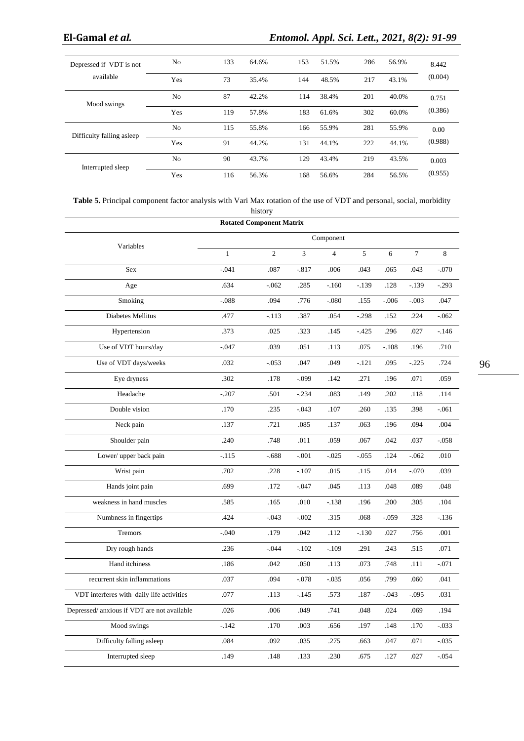| Depressed if VDT is not<br>available | N <sub>0</sub> | 133 | 64.6% | 153 | 51.5% | 286 | 56.9% | 8.442<br>(0.004) |
|--------------------------------------|----------------|-----|-------|-----|-------|-----|-------|------------------|
|                                      | Yes            | 73  | 35.4% | 144 | 48.5% | 217 | 43.1% |                  |
| Mood swings                          | N <sub>o</sub> | 87  | 42.2% | 114 | 38.4% | 201 | 40.0% | 0.751            |
|                                      | Yes            | 119 | 57.8% | 183 | 61.6% | 302 | 60.0% | (0.386)          |
| Difficulty falling asleep            | N <sub>0</sub> | 115 | 55.8% | 166 | 55.9% | 281 | 55.9% | 0.00             |
|                                      | Yes            | 91  | 44.2% | 131 | 44.1% | 222 | 44.1% | (0.988)          |
| Interrupted sleep                    | N <sub>0</sub> | 90  | 43.7% | 129 | 43.4% | 219 | 43.5% | 0.003            |
|                                      | Yes            | 116 | 56.3% | 168 | 56.6% | 284 | 56.5% | (0.955)          |

| <b>Table 5.</b> Principal component factor analysis with Vari Max rotation of the use of VDT and personal, social, morbidity |  |
|------------------------------------------------------------------------------------------------------------------------------|--|
| history                                                                                                                      |  |

|                                            |              | <b>Rotated Component Matrix</b> |          |                |          |         |                |          |
|--------------------------------------------|--------------|---------------------------------|----------|----------------|----------|---------|----------------|----------|
|                                            |              |                                 |          | Component      |          |         |                |          |
| Variables                                  | $\mathbf{1}$ | 2                               | 3        | $\overline{4}$ | 5        | 6       | $\overline{7}$ | 8        |
| <b>Sex</b>                                 | $-.041$      | .087                            | $-0.817$ | .006           | .043     | .065    | .043           | $-.070$  |
| Age                                        | .634         | $-.062$                         | .285     | $-160$         | $-139$   | .128    | $-.139$        | $-.293$  |
| Smoking                                    | $-0.088$     | .094                            | .776     | $-080$         | .155     | $-.006$ | $-.003$        | .047     |
| Diabetes Mellitus                          | .477         | $-.113$                         | .387     | .054           | $-.298$  | .152    | .224           | $-.062$  |
| Hypertension                               | .373         | .025                            | .323     | .145           | $-425$   | .296    | .027           | $-.146$  |
| Use of VDT hours/day                       | $-.047$      | .039                            | .051     | .113           | .075     | $-.108$ | .196           | .710     |
| Use of VDT days/weeks                      | .032         | $-.053$                         | .047     | .049           | $-.121$  | .095    | $-.225$        | .724     |
| Eye dryness                                | .302         | .178                            | $-.099$  | .142           | .271     | .196    | .071           | .059     |
| Headache                                   | $-.207$      | .501                            | $-.234$  | .083           | .149     | .202    | .118           | .114     |
| Double vision                              | .170         | .235                            | $-.043$  | .107           | .260     | .135    | .398           | $-.061$  |
| Neck pain                                  | .137         | .721                            | .085     | .137           | .063     | .196    | .094           | .004     |
| Shoulder pain                              | .240         | .748                            | .011     | .059           | .067     | .042    | .037           | $-0.058$ |
| Lower/ upper back pain                     | -.115        | $-.688$                         | $-.001$  | $-0.025$       | $-0.055$ | .124    | $-.062$        | .010     |
| Wrist pain                                 | .702         | .228                            | $-.107$  | .015           | .115     | .014    | $-.070$        | .039     |
| Hands joint pain                           | .699         | .172                            | $-.047$  | .045           | .113     | .048    | .089           | .048     |
| weakness in hand muscles                   | .585         | .165                            | .010     | $-.138$        | .196     | .200    | .305           | .104     |
| Numbness in fingertips                     | .424         | $-.043$                         | $-.002$  | .315           | .068     | $-.059$ | .328           | $-136$   |
| Tremors                                    | $-.040$      | .179                            | .042     | .112           | $-130$   | .027    | .756           | .001     |
| Dry rough hands                            | .236         | $-.044$                         | $-.102$  | $-.109$        | .291     | .243    | .515           | .071     |
| Hand itchiness                             | .186         | .042                            | .050     | .113           | .073     | .748    | .111           | $-.071$  |
| recurrent skin inflammations               | .037         | .094                            | $-.078$  | $-.035$        | .056     | .799    | .060           | .041     |
| VDT interferes with daily life activities  | .077         | .113                            | $-.145$  | .573           | .187     | $-.043$ | $-.095$        | .031     |
| Depressed/anxious if VDT are not available | .026         | .006                            | .049     | .741           | .048     | .024    | .069           | .194     |
| Mood swings                                | $-.142$      | .170                            | .003     | .656           | .197     | .148    | .170           | $-.033$  |
| Difficulty falling asleep                  | .084         | .092                            | .035     | .275           | .663     | .047    | .071           | $-0.035$ |
| Interrupted sleep                          | .149         | .148                            | .133     | .230           | .675     | .127    | .027           | $-.054$  |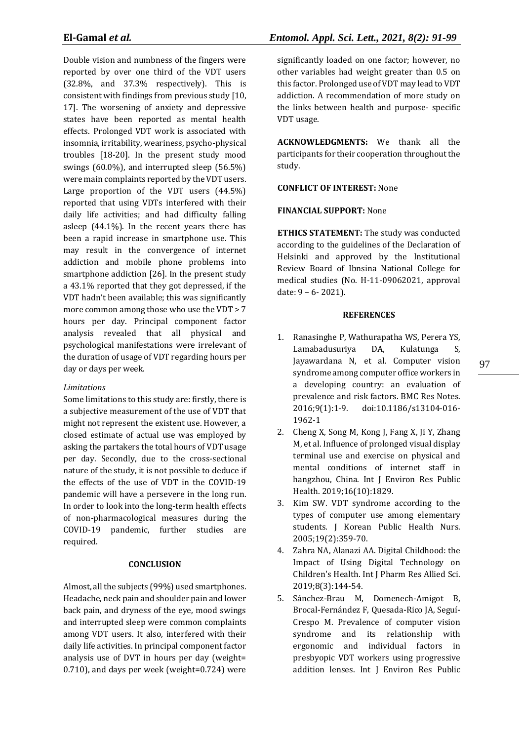Double vision and numbness of the fingers were reported by over one third of the VDT users (32.8%, and 37.3% respectively). This is consistent with findings from previous study [10, 17]. The worsening of anxiety and depressive states have been reported as mental health effects. Prolonged VDT work is associated with insomnia, irritability, weariness, psycho-physical troubles [18-20]. In the present study mood swings (60.0%), and interrupted sleep (56.5%) were main complaints reported by the VDT users. Large proportion of the VDT users (44.5%) reported that using VDTs interfered with their daily life activities; and had difficulty falling asleep (44.1%). In the recent years there has been a rapid increase in smartphone use. This may result in the convergence of internet addiction and mobile phone problems into smartphone addiction [26]. In the present study a 43.1% reported that they got depressed, if the VDT hadn't been available; this was significantly more common among those who use the VDT > 7 hours per day. Principal component factor analysis revealed that all physical and psychological manifestations were irrelevant of the duration of usage of VDT regarding hours per day or days per week.

# *Limitations*

Some limitations to this study are: firstly, there is a subjective measurement of the use of VDT that might not represent the existent use. However, a closed estimate of actual use was employed by asking the partakers the total hours of VDT usage per day. Secondly, due to the cross-sectional nature of the study, it is not possible to deduce if the effects of the use of VDT in the COVID-19 pandemic will have a persevere in the long run. In order to look into the long-term health effects of non-pharmacological measures during the COVID-19 pandemic, further studies are required.

## **CONCLUSION**

Almost, all the subjects (99%) used smartphones. Headache, neck pain and shoulder pain and lower back pain, and dryness of the eye, mood swings and interrupted sleep were common complaints among VDT users. It also, interfered with their daily life activities. In principal component factor analysis use of DVT in hours per day (weight= 0.710), and days per week (weight=0.724) were

significantly loaded on one factor; however, no other variables had weight greater than 0.5 on this factor. Prolonged use of VDT may lead to VDT addiction. A recommendation of more study on the links between health and purpose- specific VDT usage.

**ACKNOWLEDGMENTS:** We thank all the participants for their cooperation throughout the study.

# **CONFLICT OF INTEREST:** None

# **FINANCIAL SUPPORT:** None

**ETHICS STATEMENT:** The study was conducted according to the guidelines of the Declaration of Helsinki and approved by the Institutional Review Board of Ibnsina National College for medical studies (No. H-11-09062021, approval date: 9 – 6- 2021).

## **REFERENCES**

- 1. Ranasinghe P, Wathurapatha WS, Perera YS, Lamabadusuriya DA, Kulatunga S, Jayawardana N, et al. Computer vision syndrome among computer office workers in a developing country: an evaluation of prevalence and risk factors. BMC Res Notes. 2016;9(1):1-9. doi:10.1186/s13104-016- 1962-1
- 2. Cheng X, Song M, Kong J, Fang X, Ji Y, Zhang M, et al. Influence of prolonged visual display terminal use and exercise on physical and mental conditions of internet staff in hangzhou, China. Int J Environ Res Public Health. 2019;16(10):1829.
- 3. Kim SW. VDT syndrome according to the types of computer use among elementary students. J Korean Public Health Nurs. 2005;19(2):359-70.
- 4. Zahra NA, Alanazi AA. Digital Childhood: the Impact of Using Digital Technology on Children's Health. Int J Pharm Res Allied Sci. 2019;8(3):144-54.
- 5. Sánchez-Brau M, Domenech-Amigot B, Brocal-Fernández F, Quesada-Rico JA, Seguí-Crespo M. Prevalence of computer vision syndrome and its relationship with ergonomic and individual factors in presbyopic VDT workers using progressive addition lenses. Int J Environ Res Public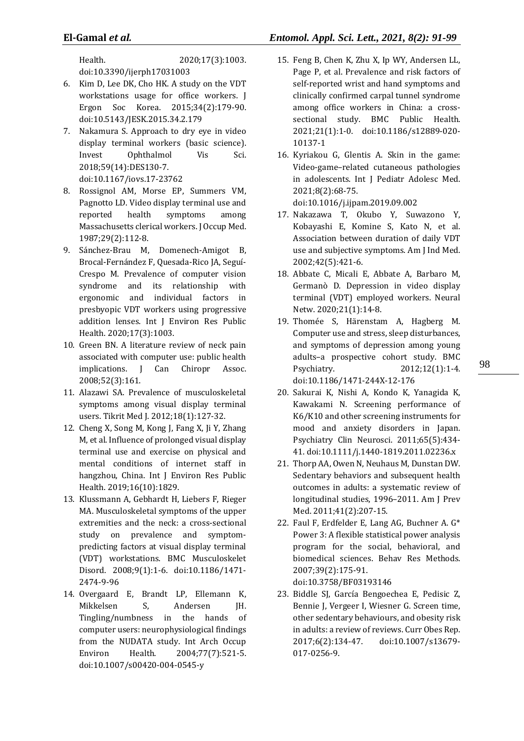Health. 2020;17(3):1003. doi:10.3390/ijerph17031003

- 6. Kim D, Lee DK, Cho HK. A study on the VDT workstations usage for office workers. J Ergon Soc Korea. 2015;34(2):179-90. doi:10.5143/JESK.2015.34.2.179
- 7. Nakamura S. Approach to dry eye in video display terminal workers (basic science). Invest Ophthalmol Vis Sci. 2018;59(14):DES130-7. doi:10.1167/iovs.17-23762
- 8. Rossignol AM, Morse EP, Summers VM, Pagnotto LD. Video display terminal use and reported health symptoms among Massachusetts clerical workers. J Occup Med. 1987;29(2):112-8.
- 9. Sánchez-Brau M, Domenech-Amigot B, Brocal-Fernández F, Quesada-Rico JA, Seguí-Crespo M. Prevalence of computer vision syndrome and its relationship with ergonomic and individual factors in presbyopic VDT workers using progressive addition lenses. Int J Environ Res Public Health. 2020;17(3):1003.
- 10. Green BN. A literature review of neck pain associated with computer use: public health implications. J Can Chiropr Assoc. 2008;52(3):161.
- 11. Alazawi SA. Prevalence of musculoskeletal symptoms among visual display terminal users. Tikrit Med J. 2012;18(1):127-32.
- 12. Cheng X, Song M, Kong J, Fang X, Ji Y, Zhang M, et al. Influence of prolonged visual display terminal use and exercise on physical and mental conditions of internet staff in hangzhou, China. Int J Environ Res Public Health. 2019;16(10):1829.
- 13. Klussmann A, Gebhardt H, Liebers F, Rieger MA. Musculoskeletal symptoms of the upper extremities and the neck: a cross-sectional study on prevalence and symptompredicting factors at visual display terminal (VDT) workstations. BMC Musculoskelet Disord. 2008;9(1):1-6. doi:10.1186/1471- 2474-9-96
- 14. Overgaard E, Brandt LP, Ellemann K, Mikkelsen S, Andersen JH. Tingling/numbness in the hands of computer users: neurophysiological findings from the NUDATA study. Int Arch Occup Environ Health. 2004;77(7):521-5. doi:10.1007/s00420-004-0545-y
- 15. Feng B, Chen K, Zhu X, Ip WY, Andersen LL, Page P, et al. Prevalence and risk factors of self-reported wrist and hand symptoms and clinically confirmed carpal tunnel syndrome among office workers in China: a crosssectional study. BMC Public Health. 2021;21(1):1-0. doi:10.1186/s12889-020- 10137-1
- 16. Kyriakou G, Glentis A. Skin in the game: Video-game–related cutaneous pathologies in adolescents. Int J Pediatr Adolesc Med. 2021;8(2):68-75. doi:10.1016/j.ijpam.2019.09.002
- 17. Nakazawa T, Okubo Y, Suwazono Y, Kobayashi E, Komine S, Kato N, et al. Association between duration of daily VDT use and subjective symptoms. Am J Ind Med. 2002;42(5):421-6.
- 18. Abbate C, Micali E, Abbate A, Barbaro M, Germanò D. Depression in video display terminal (VDT) employed workers. Neural Netw. 2020;21(1):14-8.
- 19. Thomée S, Härenstam A, Hagberg M. Computer use and stress, sleep disturbances, and symptoms of depression among young adults–a prospective cohort study. BMC Psychiatry. 2012;12(1):1-4. doi:10.1186/1471-244X-12-176
- 20. Sakurai K, Nishi A, Kondo K, Yanagida K, Kawakami N. Screening performance of K6/K10 and other screening instruments for mood and anxiety disorders in Japan. Psychiatry Clin Neurosci. 2011;65(5):434- 41. doi:10.1111/j.1440-1819.2011.02236.x
- 21. Thorp AA, Owen N, Neuhaus M, Dunstan DW. Sedentary behaviors and subsequent health outcomes in adults: a systematic review of longitudinal studies, 1996-2011. Am J Prev Med. 2011;41(2):207-15.
- 22. Faul F, Erdfelder E, Lang AG, Buchner A. G\* Power 3: A flexible statistical power analysis program for the social, behavioral, and biomedical sciences. Behav Res Methods. 2007;39(2):175-91. doi:10.3758/BF03193146
- 23. Biddle SJ, García Bengoechea E, Pedisic Z, Bennie J, Vergeer I, Wiesner G. Screen time, other sedentary behaviours, and obesity risk in adults: a review of reviews. Curr Obes Rep. 2017;6(2):134-47. doi:10.1007/s13679- 017-0256-9.

98